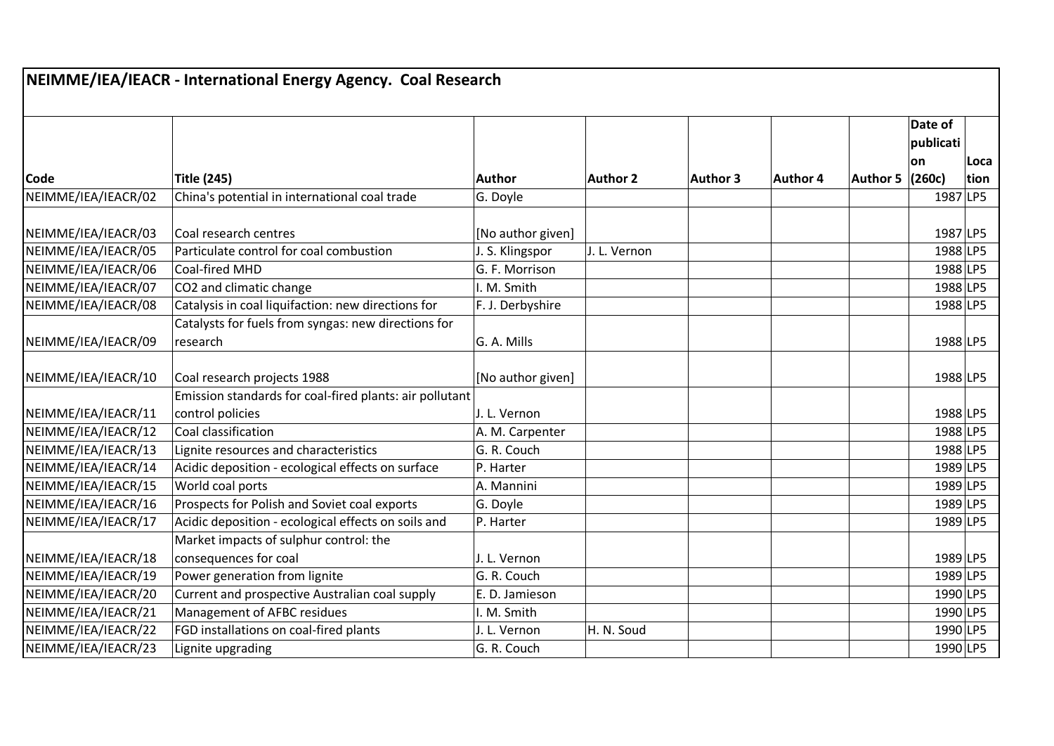## **Code Title (245) Author Author 2 Author 3 Author 4 Author 5 Date of publicati on (260c) Loca tion** NEIMME/IEA/IEACR/02 China's potential in international coal trade  $|G.$  Doyle  $|$  | | | | | 1987 LP5 NEIMME/IEA/IEACR/03 Coal research centres [No author given] 1987 LP5 NEIMME/IEA/IEACR/05 Particulate control for coal combustion J. S. Klingspor J. L. Vernon 1988 1998 1988 LP5 NEIMME/IEA/IEACR/06 Coal-fired MHD G. F. Morrison 1988 LP5 NEIMME/IEA/IEACR/07 CO2 and climatic change I. M. Smith I. M. Smith 1988 LP5 NEIMME/IEA/IEACR/08 Catalysis in coal liquifaction: new directions for F. J. Derbyshire 1988 LP5 NEIMME/IEA/IEACR/09 Catalysts for fuels from syngas: new directions for research G. A. Mills 1988 LP5 NEIMME/IEA/IEACR/10 Coal research projects 1988 1988 [No author given] 1988 | LP5 NEIMME/IEA/IEACR/11 Emission standards for coal-fired plants: air pollutant control policies J. L. Vernon 1988 LP5 NEIMME/IEA/IEACR/12 Coal classification A. M. Carpenter 1988 LP5 NEIMME/IEA/IEACR/13 Lignite resources and characteristics G. R. Couch 1988 LP5 NEIMME/IEA/IEACR/14 Acidic deposition - ecological effects on surface P. Harter 1989 LP5 NEIMME/IEA/IEACR/15 World coal ports A. Mannini 1989 LP5 NEIMME/IEA/IEACR/16 Prospects for Polish and Soviet coal exports G. Doyle 1989 LP5 NEIMME/IEA/IEACR/17 Acidic deposition - ecological effects on soils and P. Harter 1989 1989 LP5 NEIMME/IEA/IEACR/18 Market impacts of sulphur control: the consequences for coal J. L. Vernon 1989 LP5 NEIMME/IEA/IEACR/19 Power generation from lignite G. R. Couch G. R. Couch 1989 LP5 NEIMME/IEA/IEACR/20 Current and prospective Australian coal supply E. D. Jamieson NEIMME/IEA/IEACR/21 Management of AFBC residues I. M. Smith 1990 LP5 NEIMME/IEA/IEACR/22 FGD installations on coal-fired plants J. L. Vernon H. N. Soud 1990 LP5 NEIMME/IEA/IEACR/23 Lignite upgrading and the second of the second intervention of the second intervention of the second intervention of the second intervention of the second intervention of the second intervention of the **NEIMME/IEA/IEACR - International Energy Agency. Coal Research**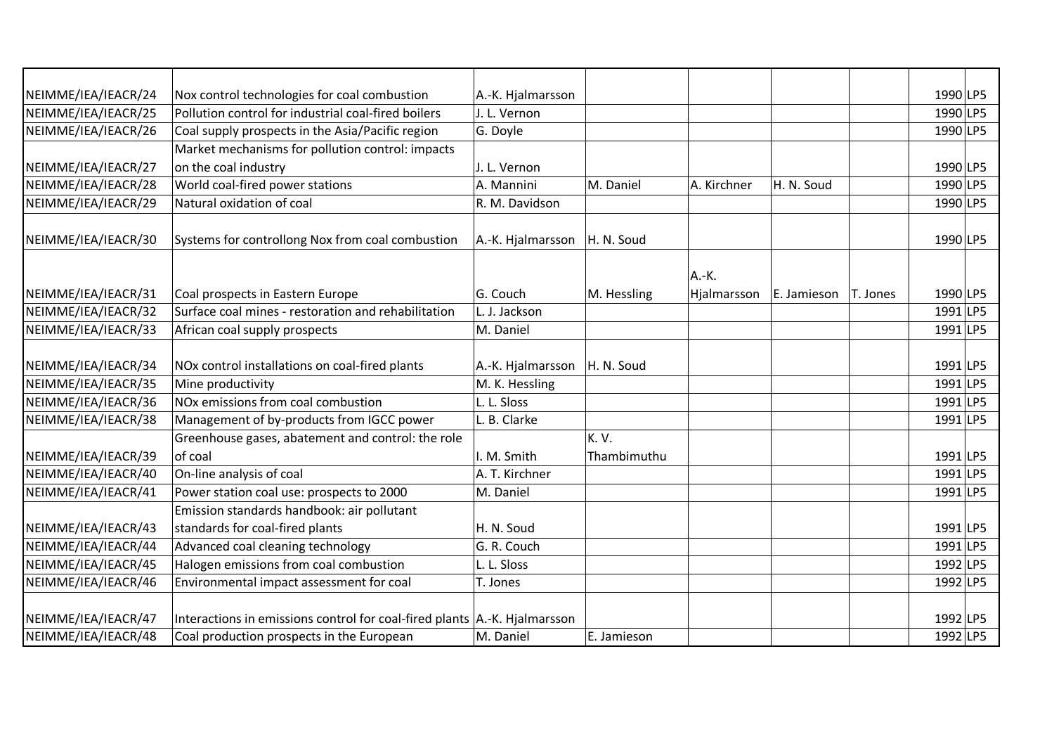| NEIMME/IEA/IEACR/24 | Nox control technologies for coal combustion                                | A.-K. Hjalmarsson |             |             |             |          | 1990 LP5 |  |
|---------------------|-----------------------------------------------------------------------------|-------------------|-------------|-------------|-------------|----------|----------|--|
| NEIMME/IEA/IEACR/25 | Pollution control for industrial coal-fired boilers                         | J. L. Vernon      |             |             |             |          | 1990 LP5 |  |
| NEIMME/IEA/IEACR/26 | Coal supply prospects in the Asia/Pacific region                            | G. Doyle          |             |             |             |          | 1990 LP5 |  |
|                     | Market mechanisms for pollution control: impacts                            |                   |             |             |             |          |          |  |
| NEIMME/IEA/IEACR/27 | on the coal industry                                                        | J. L. Vernon      |             |             |             |          | 1990 LP5 |  |
| NEIMME/IEA/IEACR/28 | World coal-fired power stations                                             | A. Mannini        | M. Daniel   | A. Kirchner | H. N. Soud  |          | 1990 LP5 |  |
| NEIMME/IEA/IEACR/29 | Natural oxidation of coal                                                   | R. M. Davidson    |             |             |             |          | 1990 LP5 |  |
|                     |                                                                             |                   |             |             |             |          |          |  |
| NEIMME/IEA/IEACR/30 | Systems for controllong Nox from coal combustion                            | A.-K. Hjalmarsson | H. N. Soud  |             |             |          | 1990 LP5 |  |
|                     |                                                                             |                   |             |             |             |          |          |  |
|                     |                                                                             |                   |             | A.-K.       |             |          |          |  |
| NEIMME/IEA/IEACR/31 | Coal prospects in Eastern Europe                                            | G. Couch          | M. Hessling | Hjalmarsson | E. Jamieson | T. Jones | 1990 LP5 |  |
| NEIMME/IEA/IEACR/32 | Surface coal mines - restoration and rehabilitation                         | L. J. Jackson     |             |             |             |          | 1991 LP5 |  |
| NEIMME/IEA/IEACR/33 | African coal supply prospects                                               | M. Daniel         |             |             |             |          | 1991 LP5 |  |
|                     |                                                                             |                   |             |             |             |          |          |  |
| NEIMME/IEA/IEACR/34 | NOx control installations on coal-fired plants                              | A.-K. Hjalmarsson | H. N. Soud  |             |             |          | 1991 LP5 |  |
| NEIMME/IEA/IEACR/35 | Mine productivity                                                           | M. K. Hessling    |             |             |             |          | 1991 LP5 |  |
| NEIMME/IEA/IEACR/36 | NOx emissions from coal combustion                                          | L. L. Sloss       |             |             |             |          | 1991 LP5 |  |
| NEIMME/IEA/IEACR/38 | Management of by-products from IGCC power                                   | L. B. Clarke      |             |             |             |          | 1991 LP5 |  |
|                     | Greenhouse gases, abatement and control: the role                           |                   | K.V.        |             |             |          |          |  |
| NEIMME/IEA/IEACR/39 | of coal                                                                     | I. M. Smith       | Thambimuthu |             |             |          | 1991 LP5 |  |
| NEIMME/IEA/IEACR/40 | On-line analysis of coal                                                    | A. T. Kirchner    |             |             |             |          | 1991 LP5 |  |
| NEIMME/IEA/IEACR/41 | Power station coal use: prospects to 2000                                   | M. Daniel         |             |             |             |          | 1991 LP5 |  |
|                     | Emission standards handbook: air pollutant                                  |                   |             |             |             |          |          |  |
| NEIMME/IEA/IEACR/43 | standards for coal-fired plants                                             | H. N. Soud        |             |             |             |          | 1991 LP5 |  |
| NEIMME/IEA/IEACR/44 | Advanced coal cleaning technology                                           | G. R. Couch       |             |             |             |          | 1991 LP5 |  |
| NEIMME/IEA/IEACR/45 | Halogen emissions from coal combustion                                      | L. L. Sloss       |             |             |             |          | 1992 LP5 |  |
| NEIMME/IEA/IEACR/46 | Environmental impact assessment for coal                                    | T. Jones          |             |             |             |          | 1992 LP5 |  |
|                     |                                                                             |                   |             |             |             |          |          |  |
| NEIMME/IEA/IEACR/47 | Interactions in emissions control for coal-fired plants   A.-K. Hjalmarsson |                   |             |             |             |          | 1992 LP5 |  |
| NEIMME/IEA/IEACR/48 | Coal production prospects in the European                                   | M. Daniel         | E. Jamieson |             |             |          | 1992 LP5 |  |